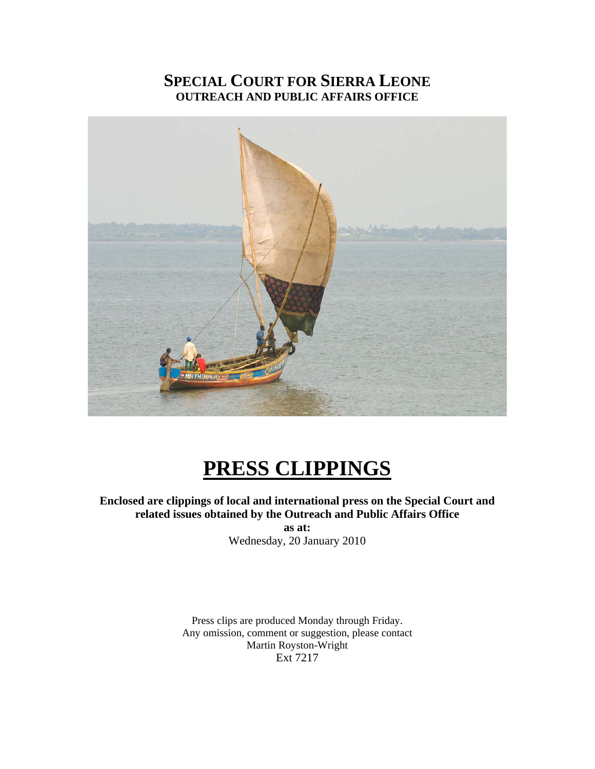# **SPECIAL COURT FOR SIERRA LEONE OUTREACH AND PUBLIC AFFAIRS OFFICE**



# **PRESS CLIPPINGS**

**Enclosed are clippings of local and international press on the Special Court and related issues obtained by the Outreach and Public Affairs Office** 

**as at:**  Wednesday, 20 January 2010

Press clips are produced Monday through Friday. Any omission, comment or suggestion, please contact Martin Royston-Wright Ext 7217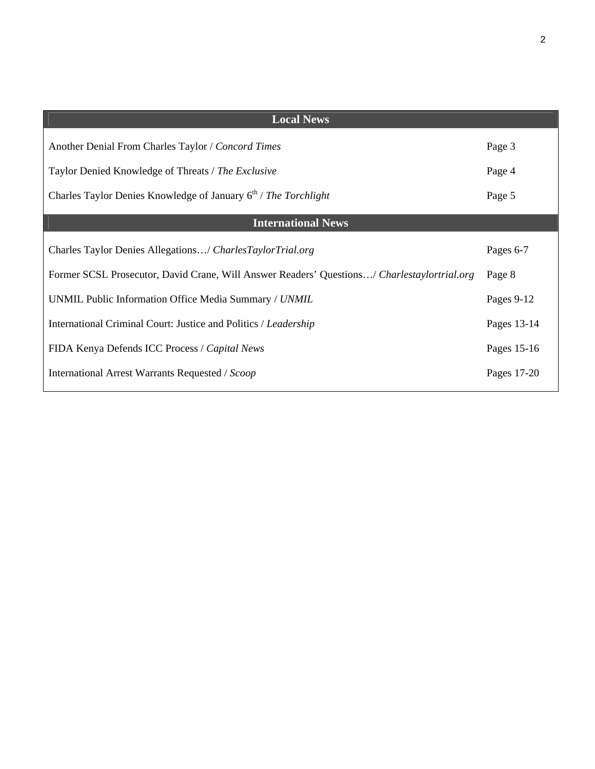| Page 3      |
|-------------|
| Page 4      |
| Page 5      |
|             |
| Pages 6-7   |
| Page 8      |
| Pages 9-12  |
| Pages 13-14 |
| Pages 15-16 |
| Pages 17-20 |
|             |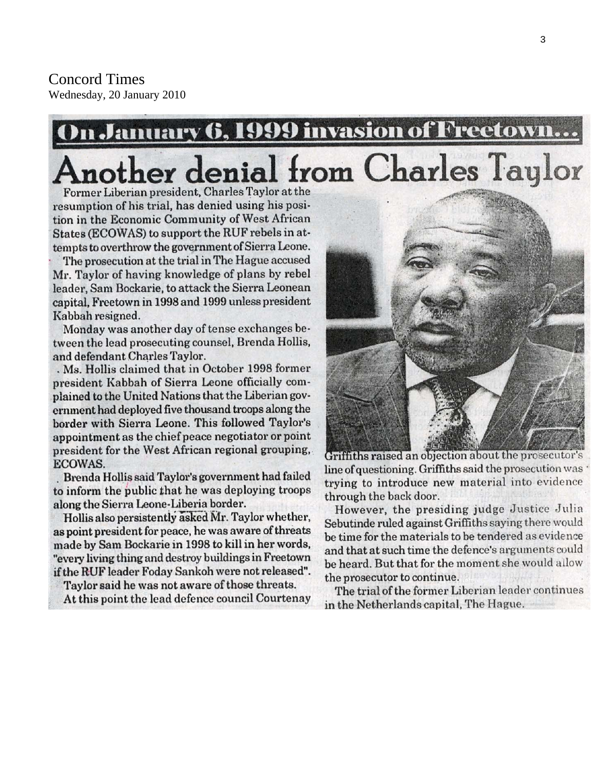# **In January 6, 1999 invasion of Freetow** Another denial from Charles Taylor

Former Liberian president, Charles Taylor at the resumption of his trial, has denied using his position in the Economic Community of West African States (ECOWAS) to support the RUF rebels in attempts to overthrow the government of Sierra Leone.

The prosecution at the trial in The Hague accused Mr. Taylor of having knowledge of plans by rebel leader, Sam Bockarie, to attack the Sierra Leonean capital, Freetown in 1998 and 1999 unless president Kabbah resigned.

Monday was another day of tense exchanges between the lead prosecuting counsel, Brenda Hollis, and defendant Charles Taylor.

. Ms. Hollis claimed that in October 1998 former president Kabbah of Sierra Leone officially complained to the United Nations that the Liberian government had deployed five thousand troops along the border with Sierra Leone. This followed Taylor's appointment as the chief peace negotiator or point president for the West African regional grouping, ECOWAS.

Brenda Hollis said Taylor's government had failed to inform the public that he was deploying troops along the Sierra Leone-Liberia border.

Hollis also persistently asked Mr. Taylor whether, as point president for peace, he was aware of threats made by Sam Bockarie in 1998 to kill in her words, "every living thing and destroy buildings in Freetown if the RUF leader Foday Sankoh were not released".

Taylor said he was not aware of those threats.

At this point the lead defence council Courtenay



Griffiths raised an objection about the prosecutor's line of questioning. Griffiths said the prosecution was ' trying to introduce new material into evidence through the back door.

However, the presiding judge Justice Julia Sebutinde ruled against Griffiths saying there would be time for the materials to be tendered as evidence and that at such time the defence's arguments could be heard. But that for the moment she would allow the prosecutor to continue.

The trial of the former Liberian leader continues in the Netherlands capital, The Hague.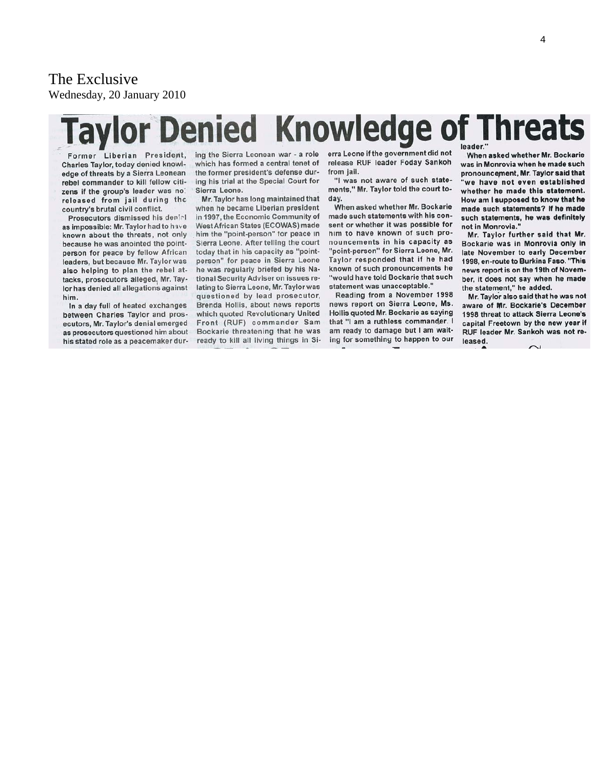The Exclusive Wednesday, 20 January 2010

# **Knowledge of Threats Taylor Denied**

Former Liberian President, Charles Taylor, today denied knowledge of threats by a Sierra Leonean rebel commander to kill fellow citizens if the group's leader was no: released from jail during the country's brutal civil conflict.

Prosecutors dismissed his denial as impossible: Mr. Taylor had to have known about the threats, not only because he was anointed the pointperson for peace by fellow African leaders, but because Mr. Taylor was also helping to plan the rebel attacks, prosecutors alleged. Mr. Taylor has denied all allegations against him.

In a day full of heated exchanges between Charles Taylor and prosecutors, Mr. Taylor's denial emerged as prosecutors questioned him about his stated role as a peacemaker during the Sierra Leonean war - a role which has formed a central tenet of the former president's defense during his trial at the Special Court for Sierra Leone.

Mr. Taylor has long maintained that when he became Liberian president in 1997, the Economic Community of West African States (ECOWAS) made him the "point-person" for peace in Sierra Leone. After telling the court today that in his capacity as "pointperson" for peace in Sierra Leone he was regularly briefed by his National Security Adviser on issues relating to Sierra Leone, Mr. Taylor was questioned by lead prosecutor, Brenda Hollis, about news reports which quoted Revolutionary United Front (RUF) commander Sam Bockarie threatening that he was ready to kill all living things in Sierra Leone if the government did not release RUF leader Foday Sankoh from jail.

"I was not aware of such statements," Mr. Taylor told the court today.

When asked whether Mr. Bockarie made such statements with his consent or whether it was possible for him to have known of such pronouncements in his capacity as "point-person" for Sierra Leone, Mr. Taylor responded that if he had known of such pronouncements he "would have told Bockarie that such statement was unacceptable."

Reading from a November 1998 news report on Sierra Leone, Ms. Hollis quoted Mr. Bockarie as saying that "I am a ruthless commander. I am ready to damage but I am waiting for something to happen to our

When asked whether Mr. Bockarie was in Monrovia when he made such pronouncement, Mr. Taylor said that 'we have not even established whether he made this statement. How am I supposed to know that he made such statements? If he made such statements, he was definitely not in Monrovia."

Mr. Taylor further said that Mr. Bockarie was in Monrovia only in late November to early December 1998, en-route to Burkina Faso. "This news report is on the 19th of November, it does not say when he made the statement," he added.

Mr. Taylor also said that he was not aware of Mr. Bockarie's December 1998 threat to attack Sierra Leone's capital Freetown by the new year if RUF leader Mr. Sankoh was not released.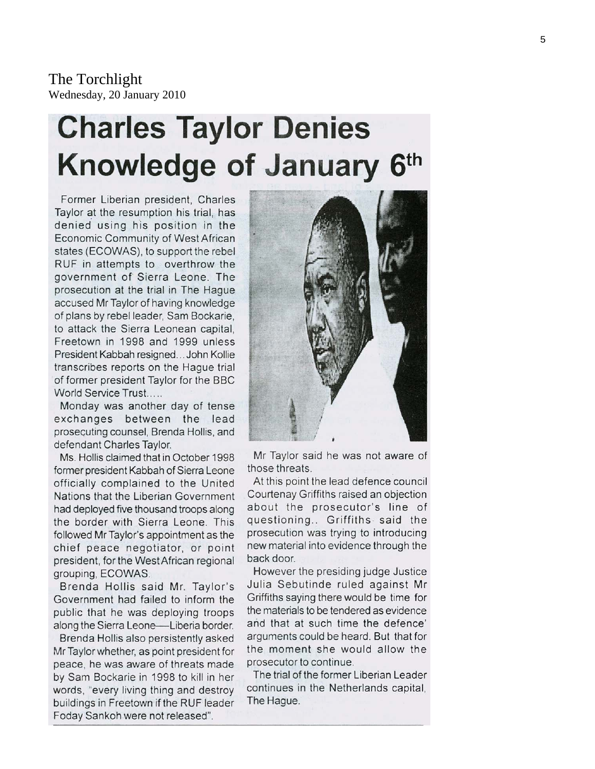The Torchlight Wednesday, 20 January 2010

# **Charles Taylor Denies** Knowledge of January 6th

Former Liberian president. Charles Taylor at the resumption his trial, has denied using his position in the Economic Community of West African states (ECOWAS), to support the rebel RUF in attempts to overthrow the government of Sierra Leone. The prosecution at the trial in The Haque accused Mr Taylor of having knowledge of plans by rebel leader, Sam Bockarie, to attack the Sierra Leonean capital. Freetown in 1998 and 1999 unless President Kabbah resigned... John Kollie transcribes reports on the Hague trial of former president Taylor for the BBC World Service Trust.....

Monday was another day of tense exchanges between the lead prosecuting counsel, Brenda Hollis, and defendant Charles Taylor.

Ms. Hollis claimed that in October 1998 former president Kabbah of Sierra Leone officially complained to the United Nations that the Liberian Government had deployed five thousand troops along the border with Sierra Leone. This followed Mr Taylor's appointment as the chief peace negotiator, or point president, for the West African regional grouping, ECOWAS.

Brenda Hollis said Mr. Taylor's Government had failed to inform the public that he was deploying troops along the Sierra Leone-Liberia border.

Brenda Hollis also persistently asked Mr Taylor whether, as point president for peace, he was aware of threats made by Sam Bockarie in 1998 to kill in her words, "every living thing and destroy buildings in Freetown if the RUF leader Foday Sankoh were not released".



Mr Taylor said he was not aware of those threats.

At this point the lead defence council Courtenay Griffiths raised an objection about the prosecutor's line of questioning.. Griffiths said the prosecution was trying to introducing new material into evidence through the back door.

However the presiding judge Justice Julia Sebutinde ruled against Mr Griffiths saying there would be time for the materials to be tendered as evidence and that at such time the defence' arguments could be heard. But that for the moment she would allow the prosecutor to continue.

The trial of the former Liberian Leader continues in the Netherlands capital. The Hague.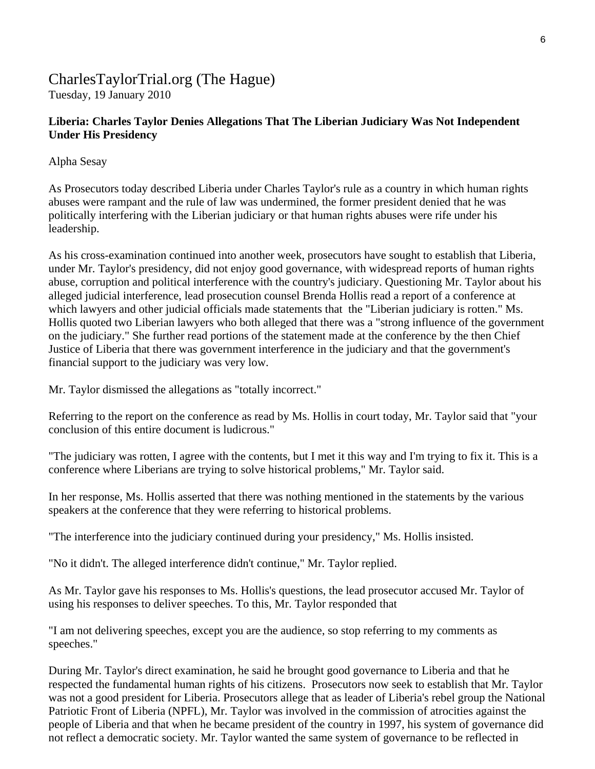# CharlesTaylorTrial.org (The Hague)

Tuesday, 19 January 2010

## **Liberia: Charles Taylor Denies Allegations That The Liberian Judiciary Was Not Independent Under His Presidency**

Alpha Sesay

As Prosecutors today described Liberia under Charles Taylor's rule as a country in which human rights abuses were rampant and the rule of law was undermined, the former president denied that he was politically interfering with the Liberian judiciary or that human rights abuses were rife under his leadership.

As his cross-examination continued into another week, prosecutors have sought to establish that Liberia, under Mr. Taylor's presidency, did not enjoy good governance, with widespread reports of human rights abuse, corruption and political interference with the country's judiciary. Questioning Mr. Taylor about his alleged judicial interference, lead prosecution counsel Brenda Hollis read a report of a conference at which lawyers and other judicial officials made statements that the "Liberian judiciary is rotten." Ms. Hollis quoted two Liberian lawyers who both alleged that there was a "strong influence of the government on the judiciary." She further read portions of the statement made at the conference by the then Chief Justice of Liberia that there was government interference in the judiciary and that the government's financial support to the judiciary was very low.

Mr. Taylor dismissed the allegations as "totally incorrect."

Referring to the report on the conference as read by Ms. Hollis in court today, Mr. Taylor said that "your conclusion of this entire document is ludicrous."

"The judiciary was rotten, I agree with the contents, but I met it this way and I'm trying to fix it. This is a conference where Liberians are trying to solve historical problems," Mr. Taylor said.

In her response, Ms. Hollis asserted that there was nothing mentioned in the statements by the various speakers at the conference that they were referring to historical problems.

"The interference into the judiciary continued during your presidency," Ms. Hollis insisted.

"No it didn't. The alleged interference didn't continue," Mr. Taylor replied.

As Mr. Taylor gave his responses to Ms. Hollis's questions, the lead prosecutor accused Mr. Taylor of using his responses to deliver speeches. To this, Mr. Taylor responded that

"I am not delivering speeches, except you are the audience, so stop referring to my comments as speeches."

During Mr. Taylor's direct examination, he said he brought good governance to Liberia and that he respected the fundamental human rights of his citizens. Prosecutors now seek to establish that Mr. Taylor was not a good president for Liberia. Prosecutors allege that as leader of Liberia's rebel group the National Patriotic Front of Liberia (NPFL), Mr. Taylor was involved in the commission of atrocities against the people of Liberia and that when he became president of the country in 1997, his system of governance did not reflect a democratic society. Mr. Taylor wanted the same system of governance to be reflected in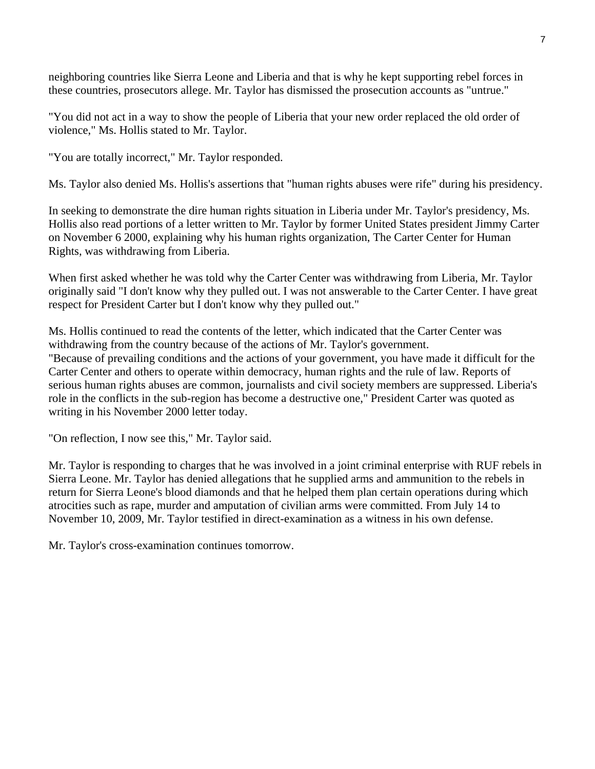neighboring countries like Sierra Leone and Liberia and that is why he kept supporting rebel forces in these countries, prosecutors allege. Mr. Taylor has dismissed the prosecution accounts as "untrue."

"You did not act in a way to show the people of Liberia that your new order replaced the old order of violence," Ms. Hollis stated to Mr. Taylor.

"You are totally incorrect," Mr. Taylor responded.

Ms. Taylor also denied Ms. Hollis's assertions that "human rights abuses were rife" during his presidency.

In seeking to demonstrate the dire human rights situation in Liberia under Mr. Taylor's presidency, Ms. Hollis also read portions of a letter written to Mr. Taylor by former United States president Jimmy Carter on November 6 2000, explaining why his human rights organization, The Carter Center for Human Rights, was withdrawing from Liberia.

When first asked whether he was told why the Carter Center was withdrawing from Liberia, Mr. Taylor originally said "I don't know why they pulled out. I was not answerable to the Carter Center. I have great respect for President Carter but I don't know why they pulled out."

Ms. Hollis continued to read the contents of the letter, which indicated that the Carter Center was withdrawing from the country because of the actions of Mr. Taylor's government. "Because of prevailing conditions and the actions of your government, you have made it difficult for the Carter Center and others to operate within democracy, human rights and the rule of law. Reports of serious human rights abuses are common, journalists and civil society members are suppressed. Liberia's role in the conflicts in the sub-region has become a destructive one," President Carter was quoted as writing in his November 2000 letter today.

"On reflection, I now see this," Mr. Taylor said.

Mr. Taylor is responding to charges that he was involved in a joint criminal enterprise with RUF rebels in Sierra Leone. Mr. Taylor has denied allegations that he supplied arms and ammunition to the rebels in return for Sierra Leone's blood diamonds and that he helped them plan certain operations during which atrocities such as rape, murder and amputation of civilian arms were committed. From July 14 to November 10, 2009, Mr. Taylor testified in direct-examination as a witness in his own defense.

Mr. Taylor's cross-examination continues tomorrow.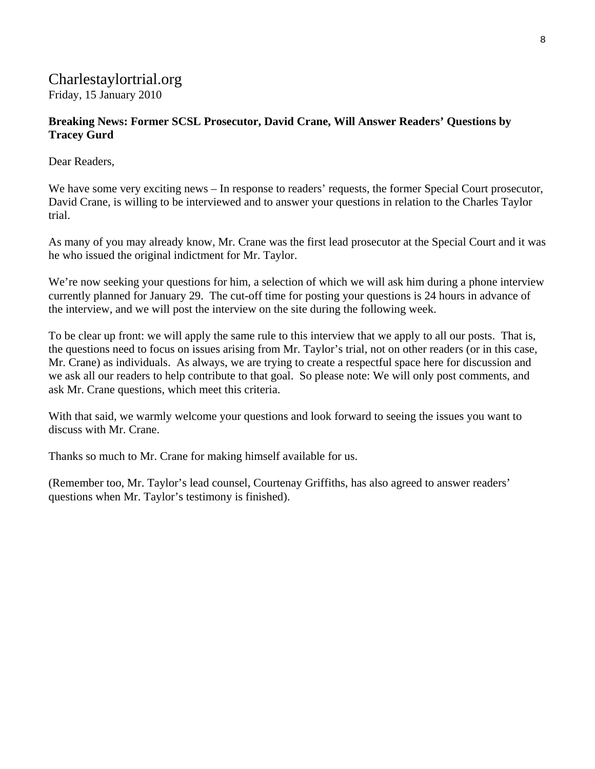# Charlestaylortrial.org Friday, 15 January 2010

#### **Breaking News: Former SCSL Prosecutor, David Crane, Will Answer Readers' Questions by Tracey Gurd**

Dear Readers,

We have some very exciting news – In response to readers' requests, the former Special Court prosecutor, David Crane, is willing to be interviewed and to answer your questions in relation to the Charles Taylor trial.

As many of you may already know, Mr. Crane was the first lead prosecutor at the Special Court and it was he who issued the original indictment for Mr. Taylor.

We're now seeking your questions for him, a selection of which we will ask him during a phone interview currently planned for January 29. The cut-off time for posting your questions is 24 hours in advance of the interview, and we will post the interview on the site during the following week.

To be clear up front: we will apply the same rule to this interview that we apply to all our posts. That is, the questions need to focus on issues arising from Mr. Taylor's trial, not on other readers (or in this case, Mr. Crane) as individuals. As always, we are trying to create a respectful space here for discussion and we ask all our readers to help contribute to that goal. So please note: We will only post comments, and ask Mr. Crane questions, which meet this criteria.

With that said, we warmly welcome your questions and look forward to seeing the issues you want to discuss with Mr. Crane.

Thanks so much to Mr. Crane for making himself available for us.

(Remember too, Mr. Taylor's lead counsel, Courtenay Griffiths, has also agreed to answer readers' questions when Mr. Taylor's testimony is finished).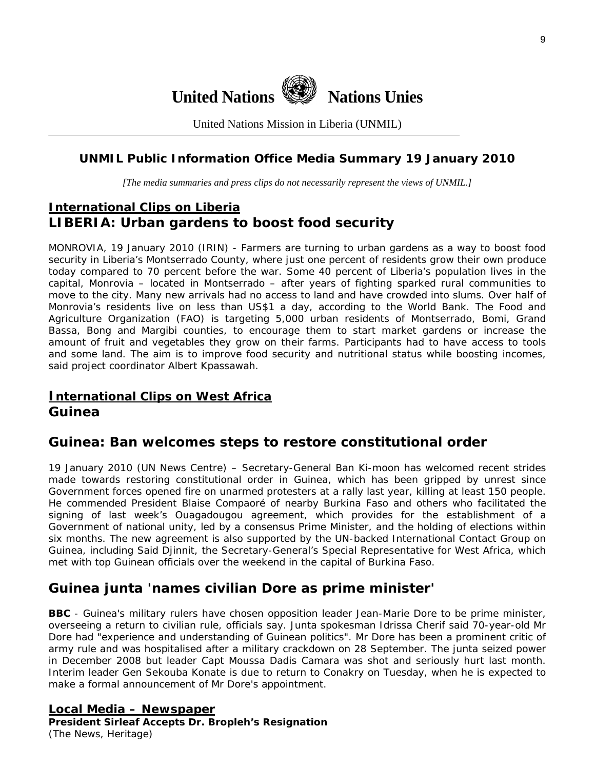

United Nations Mission in Liberia (UNMIL)

## **UNMIL Public Information Office Media Summary 19 January 2010**

*[The media summaries and press clips do not necessarily represent the views of UNMIL.]* 

# **International Clips on Liberia LIBERIA: Urban gardens to boost food security**

MONROVIA, 19 January 2010 (IRIN) - Farmers are turning to urban gardens as a way to boost food security in Liberia's Montserrado County, where just one percent of residents grow their own produce today compared to 70 percent before the war. Some 40 percent of Liberia's population lives in the capital, Monrovia – located in Montserrado – after years of fighting sparked rural communities to move to the city. Many new arrivals had no access to land and have crowded into slums. Over half of Monrovia's residents live on less than US\$1 a day, according to the World Bank. The Food and Agriculture Organization (FAO) is targeting 5,000 urban residents of Montserrado, Bomi, Grand Bassa, Bong and Margibi counties, to encourage them to start market gardens or increase the amount of fruit and vegetables they grow on their farms. Participants had to have access to tools and some land. The aim is to improve food security and nutritional status while boosting incomes, said project coordinator Albert Kpassawah.

## **International Clips on West Africa Guinea**

## **Guinea: Ban welcomes steps to restore constitutional order**

19 January 2010 (UN News Centre) – Secretary-General Ban Ki-moon has welcomed recent strides made towards restoring constitutional order in Guinea, which has been gripped by unrest since Government forces opened fire on unarmed protesters at a rally last year, killing at least 150 people. He commended President Blaise Compaoré of nearby Burkina Faso and others who facilitated the signing of last week's Ouagadougou agreement, which provides for the establishment of a Government of national unity, led by a consensus Prime Minister, and the holding of elections within six months. The new agreement is also supported by the UN-backed International Contact Group on Guinea, including Said Djinnit, the Secretary-General's Special Representative for West Africa, which met with top Guinean officials over the weekend in the capital of Burkina Faso.

# **Guinea junta 'names civilian Dore as prime minister'**

**BBC** - Guinea's military rulers have chosen opposition leader Jean-Marie Dore to be prime minister, overseeing a return to civilian rule, officials say. Junta spokesman Idrissa Cherif said 70-year-old Mr Dore had "experience and understanding of Guinean politics". Mr Dore has been a prominent critic of army rule and was hospitalised after a military crackdown on 28 September. The junta seized power in December 2008 but leader Capt Moussa Dadis Camara was shot and seriously hurt last month. Interim leader Gen Sekouba Konate is due to return to Conakry on Tuesday, when he is expected to make a formal announcement of Mr Dore's appointment.

# **Local Media – Newspaper**

**President Sirleaf Accepts Dr. Bropleh's Resignation**  (The News, Heritage)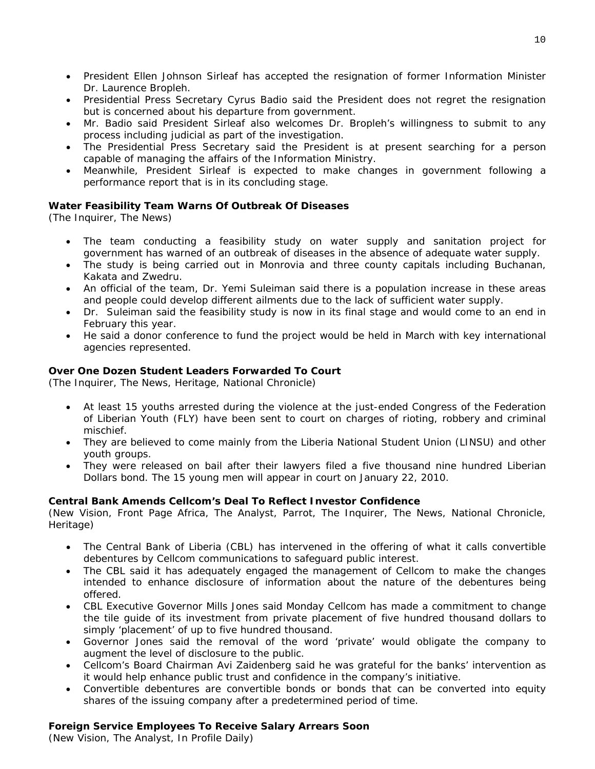- President Ellen Johnson Sirleaf has accepted the resignation of former Information Minister Dr. Laurence Bropleh.
- Presidential Press Secretary Cyrus Badio said the President does not regret the resignation but is concerned about his departure from government.
- Mr. Badio said President Sirleaf also welcomes Dr. Bropleh's willingness to submit to any process including judicial as part of the investigation.
- The Presidential Press Secretary said the President is at present searching for a person capable of managing the affairs of the Information Ministry.
- Meanwhile, President Sirleaf is expected to make changes in government following a performance report that is in its concluding stage.

#### **Water Feasibility Team Warns Of Outbreak Of Diseases**

(The Inquirer, The News)

- The team conducting a feasibility study on water supply and sanitation project for government has warned of an outbreak of diseases in the absence of adequate water supply.
- The study is being carried out in Monrovia and three county capitals including Buchanan, Kakata and Zwedru.
- An official of the team, Dr. Yemi Suleiman said there is a population increase in these areas and people could develop different ailments due to the lack of sufficient water supply.
- Dr. Suleiman said the feasibility study is now in its final stage and would come to an end in February this year.
- He said a donor conference to fund the project would be held in March with key international agencies represented.

#### **Over One Dozen Student Leaders Forwarded To Court**

(The Inquirer, The News, Heritage, National Chronicle)

- At least 15 youths arrested during the violence at the just-ended Congress of the Federation of Liberian Youth (FLY) have been sent to court on charges of rioting, robbery and criminal mischief.
- They are believed to come mainly from the Liberia National Student Union (LINSU) and other youth groups.
- They were released on bail after their lawyers filed a five thousand nine hundred Liberian Dollars bond. The 15 young men will appear in court on January 22, 2010.

#### **Central Bank Amends Cellcom's Deal To Reflect Investor Confidence**

(New Vision, Front Page Africa, The Analyst, Parrot, The Inquirer, The News, National Chronicle, Heritage)

- The Central Bank of Liberia (CBL) has intervened in the offering of what it calls convertible debentures by Cellcom communications to safeguard public interest.
- The CBL said it has adequately engaged the management of Cellcom to make the changes intended to enhance disclosure of information about the nature of the debentures being offered.
- CBL Executive Governor Mills Jones said Monday Cellcom has made a commitment to change the tile guide of its investment from private placement of five hundred thousand dollars to simply 'placement' of up to five hundred thousand.
- Governor Jones said the removal of the word 'private' would obligate the company to augment the level of disclosure to the public.
- Cellcom's Board Chairman Avi Zaidenberg said he was grateful for the banks' intervention as it would help enhance public trust and confidence in the company's initiative.
- Convertible debentures are convertible bonds or bonds that can be converted into equity shares of the issuing company after a predetermined period of time.

#### **Foreign Service Employees To Receive Salary Arrears Soon**

(New Vision, The Analyst, In Profile Daily)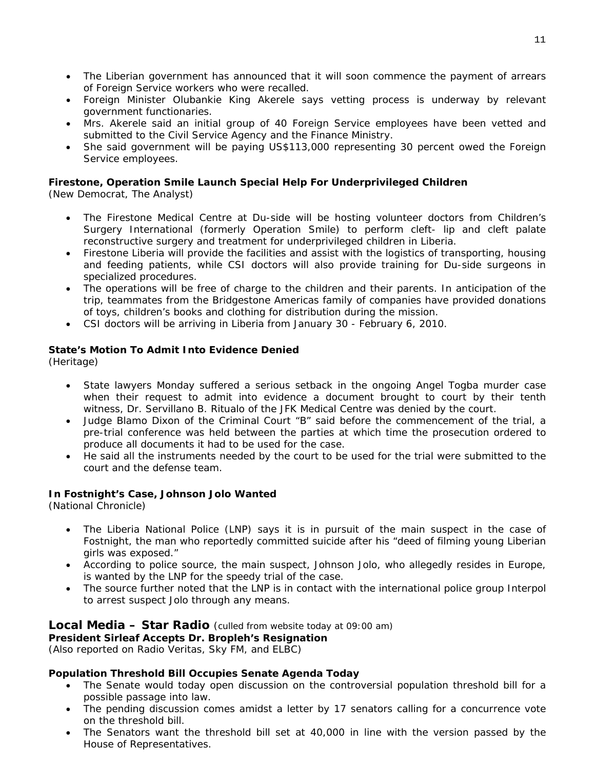- The Liberian government has announced that it will soon commence the payment of arrears of Foreign Service workers who were recalled.
- Foreign Minister Olubankie King Akerele says vetting process is underway by relevant government functionaries.
- Mrs. Akerele said an initial group of 40 Foreign Service employees have been vetted and submitted to the Civil Service Agency and the Finance Ministry.
- She said government will be paying US\$113,000 representing 30 percent owed the Foreign Service employees.

# **Firestone, Operation Smile Launch Special Help For Underprivileged Children**

(New Democrat, The Analyst)

- The Firestone Medical Centre at Du-side will be hosting volunteer doctors from Children's Surgery International (formerly Operation Smile) to perform cleft- lip and cleft palate reconstructive surgery and treatment for underprivileged children in Liberia.
- Firestone Liberia will provide the facilities and assist with the logistics of transporting, housing and feeding patients, while CSI doctors will also provide training for Du-side surgeons in specialized procedures.
- The operations will be free of charge to the children and their parents. In anticipation of the trip, teammates from the Bridgestone Americas family of companies have provided donations of toys, children's books and clothing for distribution during the mission.
- CSI doctors will be arriving in Liberia from January 30 February 6, 2010.

#### **State's Motion To Admit Into Evidence Denied**

(Heritage)

- State lawyers Monday suffered a serious setback in the ongoing Angel Togba murder case when their request to admit into evidence a document brought to court by their tenth witness, Dr. Servillano B. Ritualo of the JFK Medical Centre was denied by the court.
- Judge Blamo Dixon of the Criminal Court "B" said before the commencement of the trial, a pre-trial conference was held between the parties at which time the prosecution ordered to produce all documents it had to be used for the case.
- He said all the instruments needed by the court to be used for the trial were submitted to the court and the defense team.

#### **In Fostnight's Case, Johnson Jolo Wanted**

(National Chronicle)

- The Liberia National Police (LNP) says it is in pursuit of the main suspect in the case of Fostnight, the man who reportedly committed suicide after his "deed of filming young Liberian girls was exposed."
- According to police source, the main suspect, Johnson Jolo, who allegedly resides in Europe, is wanted by the LNP for the speedy trial of the case.
- The source further noted that the LNP is in contact with the international police group Interpol to arrest suspect Jolo through any means.

#### **Local Media – Star Radio** *(culled from website today at 09:00 am)*

**President Sirleaf Accepts Dr. Bropleh's Resignation** 

*(Also reported on Radio Veritas, Sky FM, and ELBC)* 

#### **Population Threshold Bill Occupies Senate Agenda Today**

- The Senate would today open discussion on the controversial population threshold bill for a possible passage into law.
- The pending discussion comes amidst a letter by 17 senators calling for a concurrence vote on the threshold bill.
- The Senators want the threshold bill set at 40,000 in line with the version passed by the House of Representatives.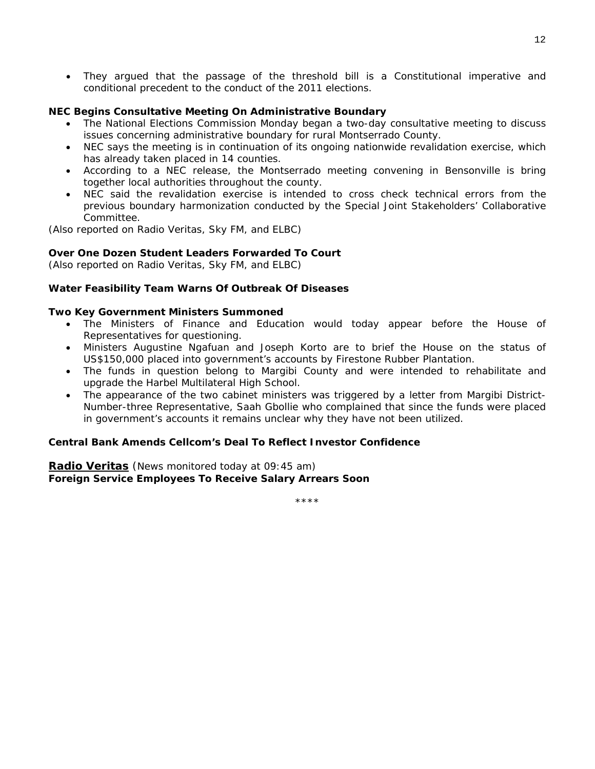• They argued that the passage of the threshold bill is a Constitutional imperative and conditional precedent to the conduct of the 2011 elections.

#### **NEC Begins Consultative Meeting On Administrative Boundary**

- The National Elections Commission Monday began a two-day consultative meeting to discuss issues concerning administrative boundary for rural Montserrado County.
- NEC says the meeting is in continuation of its ongoing nationwide revalidation exercise, which has already taken placed in 14 counties.
- According to a NEC release, the Montserrado meeting convening in Bensonville is bring together local authorities throughout the county.
- NEC said the revalidation exercise is intended to cross check technical errors from the previous boundary harmonization conducted by the Special Joint Stakeholders' Collaborative Committee.

*(Also reported on Radio Veritas, Sky FM, and ELBC)* 

#### **Over One Dozen Student Leaders Forwarded To Court**

*(Also reported on Radio Veritas, Sky FM, and ELBC)* 

#### **Water Feasibility Team Warns Of Outbreak Of Diseases**

#### **Two Key Government Ministers Summoned**

- The Ministers of Finance and Education would today appear before the House of Representatives for questioning.
- Ministers Augustine Ngafuan and Joseph Korto are to brief the House on the status of US\$150,000 placed into government's accounts by Firestone Rubber Plantation.
- The funds in question belong to Margibi County and were intended to rehabilitate and upgrade the Harbel Multilateral High School.
- The appearance of the two cabinet ministers was triggered by a letter from Margibi District-Number-three Representative, Saah Gbollie who complained that since the funds were placed in government's accounts it remains unclear why they have not been utilized.

#### **Central Bank Amends Cellcom's Deal To Reflect Investor Confidence**

**Radio Veritas** (*News monitored today at 09:45 am)*  **Foreign Service Employees To Receive Salary Arrears Soon** 

\*\*\*\*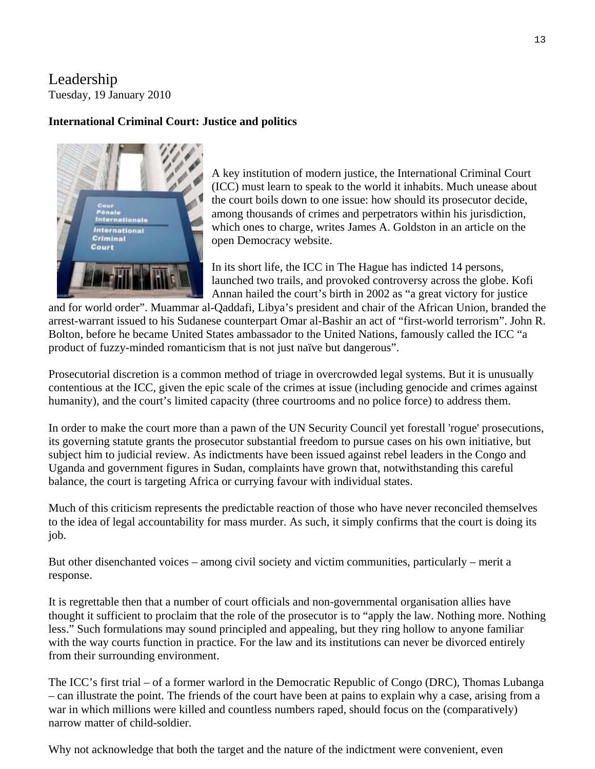# Leadership Tuesday, 19 January 2010

#### **International Criminal Court: Justice and politics**



A key institution of modern justice, the International Criminal Court (ICC) must learn to speak to the world it inhabits. Much unease about the court boils down to one issue: how should its prosecutor decide, among thousands of crimes and perpetrators within his jurisdiction, which ones to charge, writes James A. Goldston in an article on the open Democracy website.

In its short life, the ICC in The Hague has indicted 14 persons, launched two trails, and provoked controversy across the globe. Kofi Annan hailed the court's birth in 2002 as "a great victory for justice

and for world order". Muammar al-Qaddafi, Libya's president and chair of the African Union, branded the arrest-warrant issued to his Sudanese counterpart Omar al-Bashir an act of "first-world terrorism". John R. Bolton, before he became United States ambassador to the United Nations, famously called the ICC "a product of fuzzy-minded romanticism that is not just naïve but dangerous".

Prosecutorial discretion is a common method of triage in overcrowded legal systems. But it is unusually contentious at the ICC, given the epic scale of the crimes at issue (including genocide and crimes against humanity), and the court's limited capacity (three courtrooms and no police force) to address them.

In order to make the court more than a pawn of the UN Security Council yet forestall 'rogue' prosecutions, its governing statute grants the prosecutor substantial freedom to pursue cases on his own initiative, but subject him to judicial review. As indictments have been issued against rebel leaders in the Congo and Uganda and government figures in Sudan, complaints have grown that, notwithstanding this careful balance, the court is targeting Africa or currying favour with individual states.

Much of this criticism represents the predictable reaction of those who have never reconciled themselves to the idea of legal accountability for mass murder. As such, it simply confirms that the court is doing its job.

But other disenchanted voices – among civil society and victim communities, particularly – merit a response.

It is regrettable then that a number of court officials and non-governmental organisation allies have thought it sufficient to proclaim that the role of the prosecutor is to "apply the law. Nothing more. Nothing less." Such formulations may sound principled and appealing, but they ring hollow to anyone familiar with the way courts function in practice. For the law and its institutions can never be divorced entirely from their surrounding environment.

The ICC's first trial – of a former warlord in the Democratic Republic of Congo (DRC), Thomas Lubanga – can illustrate the point. The friends of the court have been at pains to explain why a case, arising from a war in which millions were killed and countless numbers raped, should focus on the (comparatively) narrow matter of child-soldier.

Why not acknowledge that both the target and the nature of the indictment were convenient, even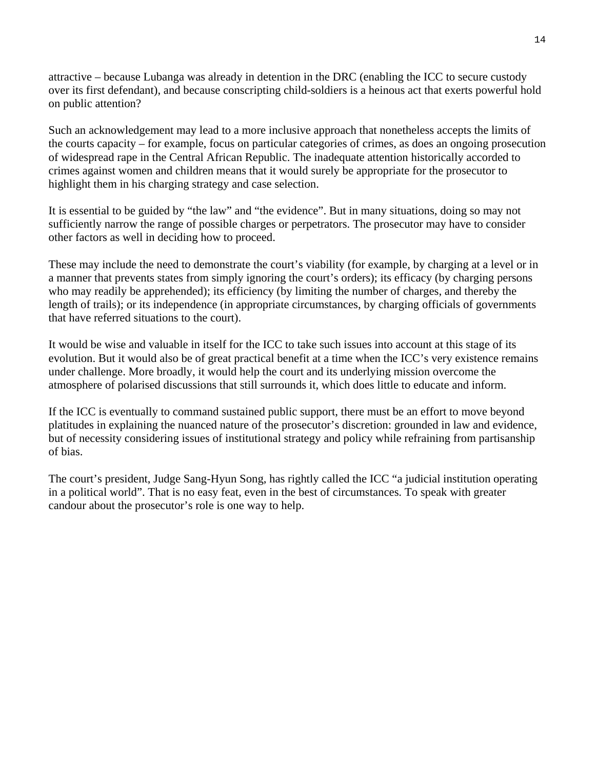attractive – because Lubanga was already in detention in the DRC (enabling the ICC to secure custody over its first defendant), and because conscripting child-soldiers is a heinous act that exerts powerful hold on public attention?

Such an acknowledgement may lead to a more inclusive approach that nonetheless accepts the limits of the courts capacity – for example, focus on particular categories of crimes, as does an ongoing prosecution of widespread rape in the Central African Republic. The inadequate attention historically accorded to crimes against women and children means that it would surely be appropriate for the prosecutor to highlight them in his charging strategy and case selection.

It is essential to be guided by "the law" and "the evidence". But in many situations, doing so may not sufficiently narrow the range of possible charges or perpetrators. The prosecutor may have to consider other factors as well in deciding how to proceed.

These may include the need to demonstrate the court's viability (for example, by charging at a level or in a manner that prevents states from simply ignoring the court's orders); its efficacy (by charging persons who may readily be apprehended); its efficiency (by limiting the number of charges, and thereby the length of trails); or its independence (in appropriate circumstances, by charging officials of governments that have referred situations to the court).

It would be wise and valuable in itself for the ICC to take such issues into account at this stage of its evolution. But it would also be of great practical benefit at a time when the ICC's very existence remains under challenge. More broadly, it would help the court and its underlying mission overcome the atmosphere of polarised discussions that still surrounds it, which does little to educate and inform.

If the ICC is eventually to command sustained public support, there must be an effort to move beyond platitudes in explaining the nuanced nature of the prosecutor's discretion: grounded in law and evidence, but of necessity considering issues of institutional strategy and policy while refraining from partisanship of bias.

The court's president, Judge Sang-Hyun Song, has rightly called the ICC "a judicial institution operating in a political world". That is no easy feat, even in the best of circumstances. To speak with greater candour about the prosecutor's role is one way to help.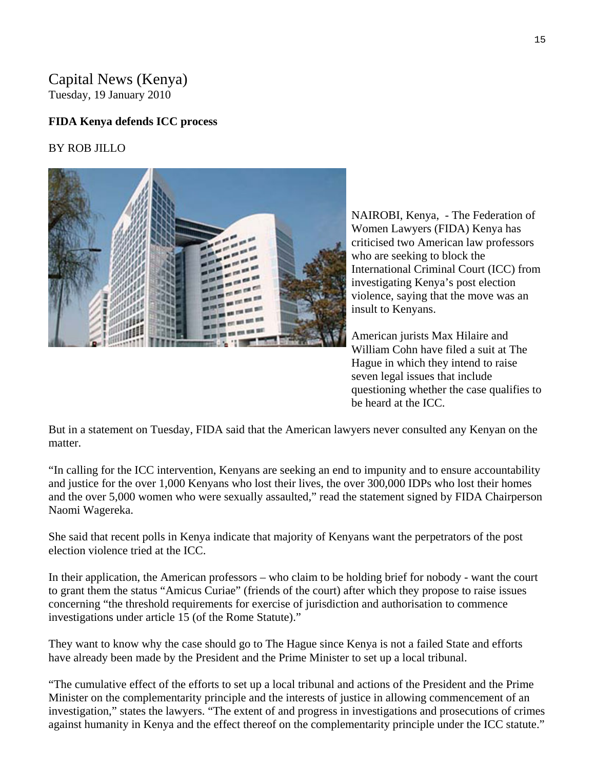# Capital News (Kenya) Tuesday, 19 January 2010

#### **FIDA Kenya defends ICC process**

#### BY ROB JILLO



NAIROBI, Kenya, - The Federation of Women Lawyers (FIDA) Kenya has criticised two American law professors who are seeking to block the International Criminal Court (ICC) from violence, saying that the move was an insult to Kenyans. investigating Kenya's post election

American jurists Max Hilaire and William Cohn have filed a suit at The Hague in which they intend to raise seven legal issues that include questioning whether the case qualifies to be heard at the ICC.

But in a statement on Tuesday, FIDA said that the American lawyers never consulted any Kenyan on the matter.

"In calling for the ICC intervention, Kenyans are seeking an end to impunity and to ensure accountability and justice for the over 1,000 Kenyans who lost their lives, the over 300,000 IDPs who lost their homes and the over 5,000 women who were sexually assaulted," read the statement signed by FIDA Chairperson Naomi Wagereka.

She said that recent polls in Kenya indicate that majority of Kenyans want the perpetrators of the post election violence tried at the ICC.

In their application, the American professors – who claim to be holding brief for nobody - want the court to grant them the status "Amicus Curiae" (friends of the court) after which they propose to raise issues concerning "the threshold requirements for exercise of jurisdiction and authorisation to commence investigations under article 15 (of the Rome Statute)."

They want to know why the case should go to The Hague since Kenya is not a failed State and efforts have already been made by the President and the Prime Minister to set up a local tribunal.

"The cumulative effect of the efforts to set up a local tribunal and actions of the President and the Prime Minister on the complementarity principle and the interests of justice in allowing commencement of an investigation," states the lawyers. "The extent of and progress in investigations and prosecutions of crimes against humanity in Kenya and the effect thereof on the complementarity principle under the ICC statute."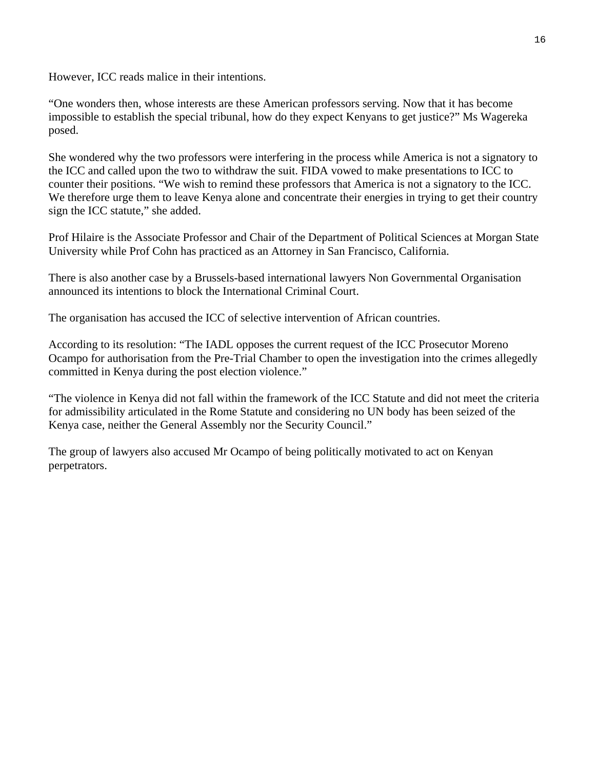However, ICC reads malice in their intentions.

"One wonders then, whose interests are these American professors serving. Now that it has become impossible to establish the special tribunal, how do they expect Kenyans to get justice?" Ms Wagereka posed.

She wondered why the two professors were interfering in the process while America is not a signatory to the ICC and called upon the two to withdraw the suit. FIDA vowed to make presentations to ICC to counter their positions. "We wish to remind these professors that America is not a signatory to the ICC. We therefore urge them to leave Kenya alone and concentrate their energies in trying to get their country sign the ICC statute," she added.

Prof Hilaire is the Associate Professor and Chair of the Department of Political Sciences at Morgan State University while Prof Cohn has practiced as an Attorney in San Francisco, California.

There is also another case by a Brussels-based international lawyers Non Governmental Organisation announced its intentions to block the International Criminal Court.

The organisation has accused the ICC of selective intervention of African countries.

According to its resolution: "The IADL opposes the current request of the ICC Prosecutor Moreno Ocampo for authorisation from the Pre-Trial Chamber to open the investigation into the crimes allegedly committed in Kenya during the post election violence."

"The violence in Kenya did not fall within the framework of the ICC Statute and did not meet the criteria for admissibility articulated in the Rome Statute and considering no UN body has been seized of the Kenya case, neither the General Assembly nor the Security Council."

The group of lawyers also accused Mr Ocampo of being politically motivated to act on Kenyan perpetrators.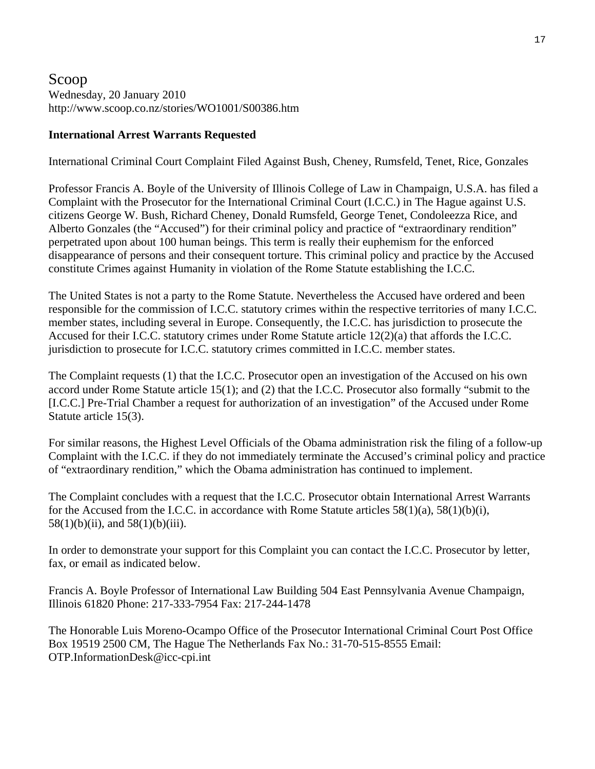## Scoop Wednesday, 20 January 2010 http://www.scoop.co.nz/stories/WO1001/S00386.htm

#### **International Arrest Warrants Requested**

International Criminal Court Complaint Filed Against Bush, Cheney, Rumsfeld, Tenet, Rice, Gonzales

Professor Francis A. Boyle of the University of Illinois College of Law in Champaign, U.S.A. has filed a Complaint with the Prosecutor for the International Criminal Court (I.C.C.) in The Hague against U.S. citizens George W. Bush, Richard Cheney, Donald Rumsfeld, George Tenet, Condoleezza Rice, and Alberto Gonzales (the "Accused") for their criminal policy and practice of "extraordinary rendition" perpetrated upon about 100 human beings. This term is really their euphemism for the enforced disappearance of persons and their consequent torture. This criminal policy and practice by the Accused constitute Crimes against Humanity in violation of the Rome Statute establishing the I.C.C.

The United States is not a party to the Rome Statute. Nevertheless the Accused have ordered and been responsible for the commission of I.C.C. statutory crimes within the respective territories of many I.C.C. member states, including several in Europe. Consequently, the I.C.C. has jurisdiction to prosecute the Accused for their I.C.C. statutory crimes under Rome Statute article 12(2)(a) that affords the I.C.C. jurisdiction to prosecute for I.C.C. statutory crimes committed in I.C.C. member states.

The Complaint requests (1) that the I.C.C. Prosecutor open an investigation of the Accused on his own accord under Rome Statute article 15(1); and (2) that the I.C.C. Prosecutor also formally "submit to the [I.C.C.] Pre-Trial Chamber a request for authorization of an investigation" of the Accused under Rome Statute article 15(3).

For similar reasons, the Highest Level Officials of the Obama administration risk the filing of a follow-up Complaint with the I.C.C. if they do not immediately terminate the Accused's criminal policy and practice of "extraordinary rendition," which the Obama administration has continued to implement.

The Complaint concludes with a request that the I.C.C. Prosecutor obtain International Arrest Warrants for the Accused from the I.C.C. in accordance with Rome Statute articles 58(1)(a), 58(1)(b)(i), 58(1)(b)(iii), and 58(1)(b)(iii).

In order to demonstrate your support for this Complaint you can contact the I.C.C. Prosecutor by letter, fax, or email as indicated below.

Francis A. Boyle Professor of International Law Building 504 East Pennsylvania Avenue Champaign, Illinois 61820 Phone: 217-333-7954 Fax: 217-244-1478

The Honorable Luis Moreno-Ocampo Office of the Prosecutor International Criminal Court Post Office Box 19519 2500 CM, The Hague The Netherlands Fax No.: 31-70-515-8555 Email: OTP.InformationDesk@icc-cpi.int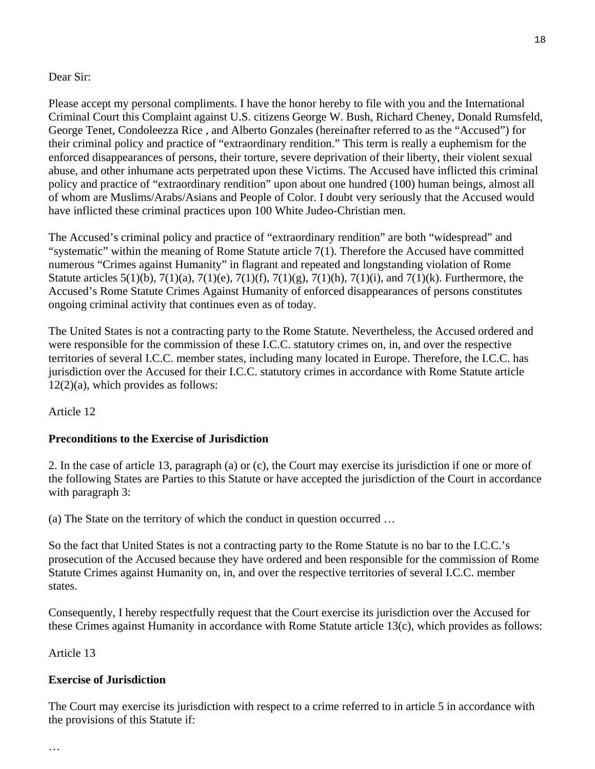#### Dear Sir:

Please accept my personal compliments. I have the honor hereby to file with you and the International Criminal Court this Complaint against U.S. citizens George W. Bush, Richard Cheney, Donald Rumsfeld, George Tenet, Condoleezza Rice , and Alberto Gonzales (hereinafter referred to as the "Accused") for their criminal policy and practice of "extraordinary rendition." This term is really a euphemism for the enforced disappearances of persons, their torture, severe deprivation of their liberty, their violent sexual abuse, and other inhumane acts perpetrated upon these Victims. The Accused have inflicted this criminal policy and practice of "extraordinary rendition" upon about one hundred (100) human beings, almost all of whom are Muslims/Arabs/Asians and People of Color. I doubt very seriously that the Accused would have inflicted these criminal practices upon 100 White Judeo-Christian men.

The Accused's criminal policy and practice of "extraordinary rendition" are both "widespread" and "systematic" within the meaning of Rome Statute article 7(1). Therefore the Accused have committed numerous "Crimes against Humanity" in flagrant and repeated and longstanding violation of Rome Statute articles  $5(1)(b)$ ,  $7(1)(a)$ ,  $7(1)(e)$ ,  $7(1)(f)$ ,  $7(1)(g)$ ,  $7(1)(h)$ ,  $7(1)(i)$ , and  $7(1)(k)$ . Furthermore, the Accused's Rome Statute Crimes Against Humanity of enforced disappearances of persons constitutes ongoing criminal activity that continues even as of today.

The United States is not a contracting party to the Rome Statute. Nevertheless, the Accused ordered and were responsible for the commission of these I.C.C. statutory crimes on, in, and over the respective territories of several I.C.C. member states, including many located in Europe. Therefore, the I.C.C. has jurisdiction over the Accused for their I.C.C. statutory crimes in accordance with Rome Statute article 12(2)(a), which provides as follows:

Article 12

#### **Preconditions to the Exercise of Jurisdiction**

2. In the case of article 13, paragraph (a) or (c), the Court may exercise its jurisdiction if one or more of the following States are Parties to this Statute or have accepted the jurisdiction of the Court in accordance with paragraph 3:

(a) The State on the territory of which the conduct in question occurred …

So the fact that United States is not a contracting party to the Rome Statute is no bar to the I.C.C.'s prosecution of the Accused because they have ordered and been responsible for the commission of Rome Statute Crimes against Humanity on, in, and over the respective territories of several I.C.C. member states.

Consequently, I hereby respectfully request that the Court exercise its jurisdiction over the Accused for these Crimes against Humanity in accordance with Rome Statute article 13(c), which provides as follows:

Article 13

#### **Exercise of Jurisdiction**

The Court may exercise its jurisdiction with respect to a crime referred to in article 5 in accordance with the provisions of this Statute if: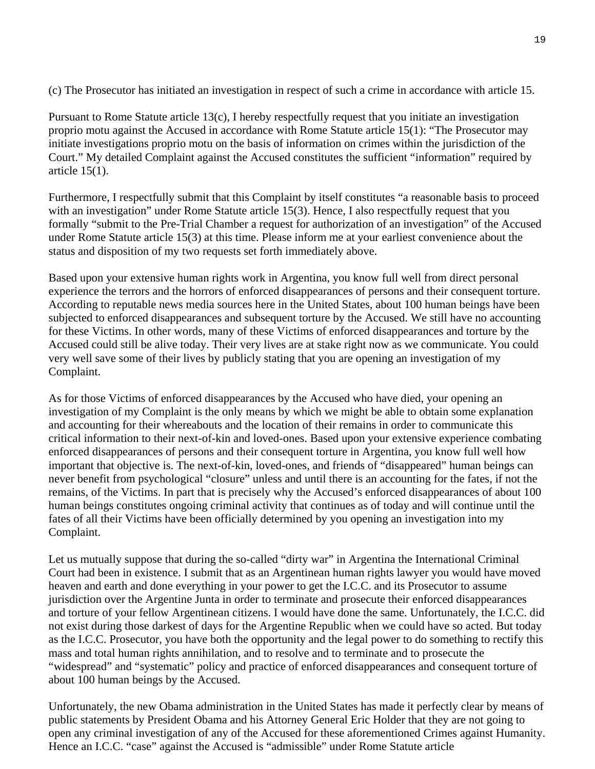(c) The Prosecutor has initiated an investigation in respect of such a crime in accordance with article 15.

Pursuant to Rome Statute article 13(c), I hereby respectfully request that you initiate an investigation proprio motu against the Accused in accordance with Rome Statute article 15(1): "The Prosecutor may initiate investigations proprio motu on the basis of information on crimes within the jurisdiction of the Court." My detailed Complaint against the Accused constitutes the sufficient "information" required by article 15(1).

Furthermore, I respectfully submit that this Complaint by itself constitutes "a reasonable basis to proceed with an investigation" under Rome Statute article 15(3). Hence, I also respectfully request that you formally "submit to the Pre-Trial Chamber a request for authorization of an investigation" of the Accused under Rome Statute article 15(3) at this time. Please inform me at your earliest convenience about the status and disposition of my two requests set forth immediately above.

Based upon your extensive human rights work in Argentina, you know full well from direct personal experience the terrors and the horrors of enforced disappearances of persons and their consequent torture. According to reputable news media sources here in the United States, about 100 human beings have been subjected to enforced disappearances and subsequent torture by the Accused. We still have no accounting for these Victims. In other words, many of these Victims of enforced disappearances and torture by the Accused could still be alive today. Their very lives are at stake right now as we communicate. You could very well save some of their lives by publicly stating that you are opening an investigation of my Complaint.

As for those Victims of enforced disappearances by the Accused who have died, your opening an investigation of my Complaint is the only means by which we might be able to obtain some explanation and accounting for their whereabouts and the location of their remains in order to communicate this critical information to their next-of-kin and loved-ones. Based upon your extensive experience combating enforced disappearances of persons and their consequent torture in Argentina, you know full well how important that objective is. The next-of-kin, loved-ones, and friends of "disappeared" human beings can never benefit from psychological "closure" unless and until there is an accounting for the fates, if not the remains, of the Victims. In part that is precisely why the Accused's enforced disappearances of about 100 human beings constitutes ongoing criminal activity that continues as of today and will continue until the fates of all their Victims have been officially determined by you opening an investigation into my Complaint.

Let us mutually suppose that during the so-called "dirty war" in Argentina the International Criminal Court had been in existence. I submit that as an Argentinean human rights lawyer you would have moved heaven and earth and done everything in your power to get the I.C.C. and its Prosecutor to assume jurisdiction over the Argentine Junta in order to terminate and prosecute their enforced disappearances and torture of your fellow Argentinean citizens. I would have done the same. Unfortunately, the I.C.C. did not exist during those darkest of days for the Argentine Republic when we could have so acted. But today as the I.C.C. Prosecutor, you have both the opportunity and the legal power to do something to rectify this mass and total human rights annihilation, and to resolve and to terminate and to prosecute the "widespread" and "systematic" policy and practice of enforced disappearances and consequent torture of about 100 human beings by the Accused.

Unfortunately, the new Obama administration in the United States has made it perfectly clear by means of public statements by President Obama and his Attorney General Eric Holder that they are not going to open any criminal investigation of any of the Accused for these aforementioned Crimes against Humanity. Hence an I.C.C. "case" against the Accused is "admissible" under Rome Statute article